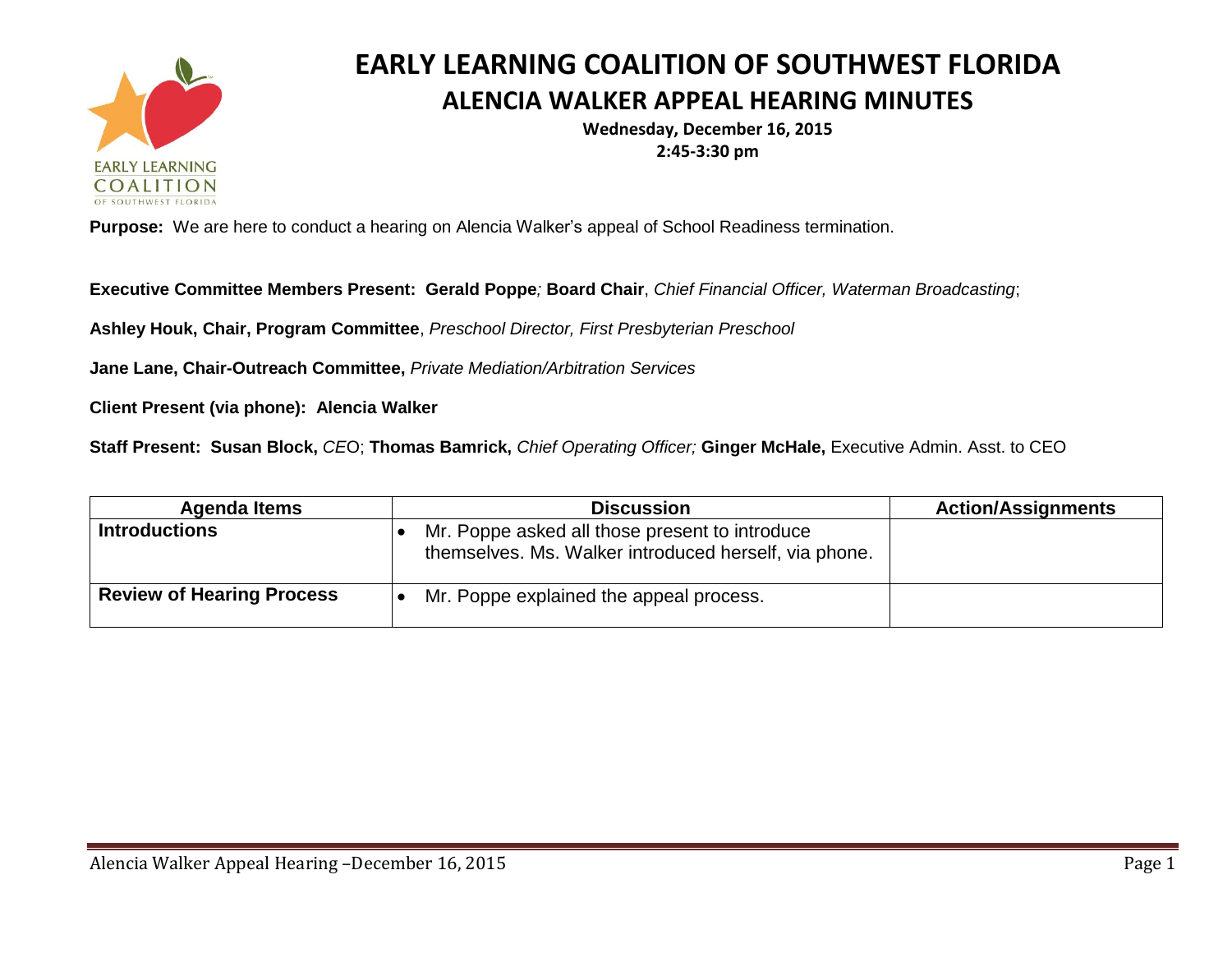

## **EARLY LEARNING COALITION OF SOUTHWEST FLORIDA ALENCIA WALKER APPEAL HEARING MINUTES**

**Wednesday, December 16, 2015 2:45-3:30 pm**

**Purpose:** We are here to conduct a hearing on Alencia Walker's appeal of School Readiness termination.

**Executive Committee Members Present: Gerald Poppe***;* **Board Chair**, *Chief Financial Officer, Waterman Broadcasting*;

**Ashley Houk, Chair, Program Committee**, *Preschool Director, First Presbyterian Preschool*

**Jane Lane, Chair-Outreach Committee,** *Private Mediation/Arbitration Services*

**Client Present (via phone): Alencia Walker**

**Staff Present: Susan Block,** *CE*O; **Thomas Bamrick,** *Chief Operating Officer;* **Ginger McHale,** Executive Admin. Asst. to CEO

| <b>Agenda Items</b>              | <b>Discussion</b>                                                                                       | <b>Action/Assignments</b> |
|----------------------------------|---------------------------------------------------------------------------------------------------------|---------------------------|
| <b>Introductions</b>             | Mr. Poppe asked all those present to introduce<br>themselves. Ms. Walker introduced herself, via phone. |                           |
| <b>Review of Hearing Process</b> | Mr. Poppe explained the appeal process.                                                                 |                           |